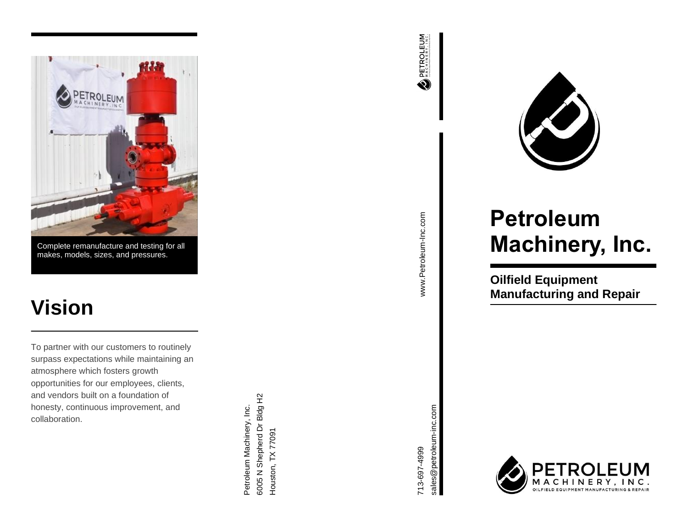

Complete remanufacture and testing for all makes, models, sizes, and pressures.

## **Vision**

To partner with our customers to routinely surpass expectations while maintaining an atmosphere which fosters growth opportunities for our employees, clients, and vendors built on a foundation of honesty, continuous improvement, and collaboration.

6005 N Shepherd Dr Bldg H2 6005 N Shepherd Dreed Handoo Petroleum Machinery, Inc. Petroleum Machinery, Inc. Houston, TX 77091 Houston, TX 77091









# **Petroleum Machinery, Inc.**

**Oilfield Equipment Manufacturing and Repair**